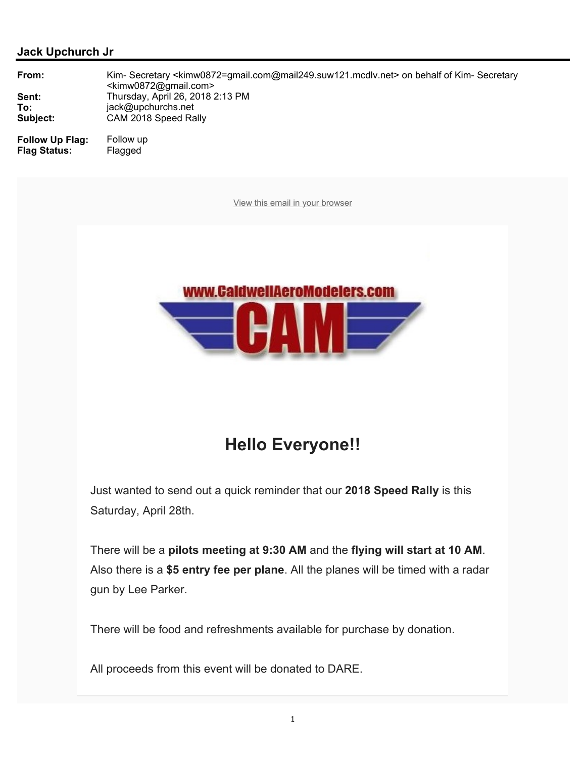

## **Hello Everyone!!**

Just wanted to send out a quick reminder that our **2018 Speed Rally** is this Saturday, April 28th.

There will be a **pilots meeting at 9:30 AM** and the **flying will start at 10 AM**. Also there is a **\$5 entry fee per plane**. All the planes will be timed with a radar gun by Lee Parker.

There will be food and refreshments available for purchase by donation.

All proceeds from this event will be donated to DARE.